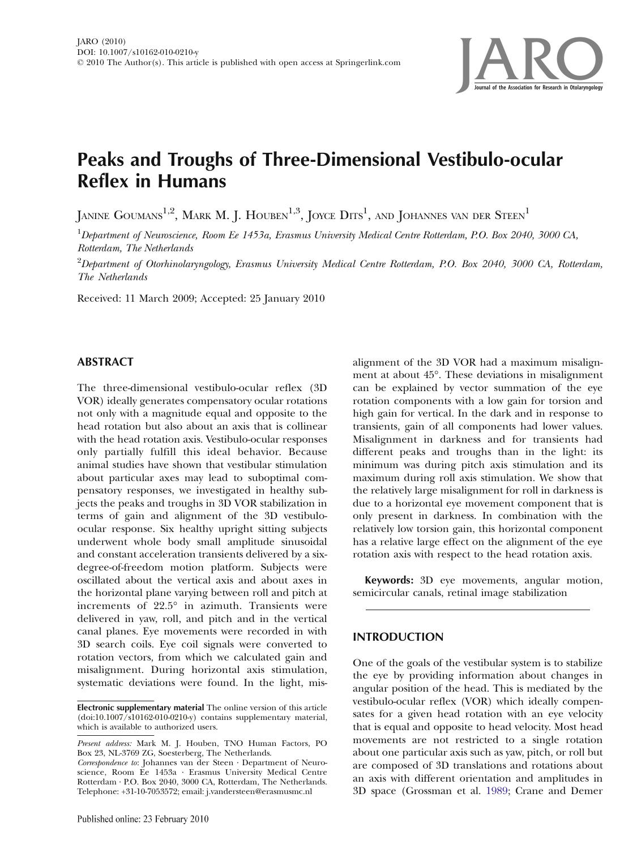

# Peaks and Troughs of Three-Dimensional Vestibulo-ocular Reflex in Humans

JANINE GOUMANS<sup>1,2</sup>, MARK M. J. HOUBEN<sup>1,3</sup>, JOYCE  $\mathrm{D}\mathrm{ITS}^1$ , and JOHANNES van der  $\mathrm{S} \mathrm{TEEN}^1$ 

 $^1$ Department of Neuroscience, Room Ee 1453a, Erasmus University Medical Centre Rotterdam, P.O. Box 2040, 3000 CA, Rotterdam, The Netherlands

 $^2$ Department of Otorhinolaryngology, Erasmus University Medical Centre Rotterdam, P.O. Box 2040, 3000 CA, Rotterdam, The Netherlands

Received: 11 March 2009; Accepted: 25 January 2010

## ABSTRACT

The three-dimensional vestibulo-ocular reflex (3D VOR) ideally generates compensatory ocular rotations not only with a magnitude equal and opposite to the head rotation but also about an axis that is collinear with the head rotation axis. Vestibulo-ocular responses only partially fulfill this ideal behavior. Because animal studies have shown that vestibular stimulation about particular axes may lead to suboptimal compensatory responses, we investigated in healthy subjects the peaks and troughs in 3D VOR stabilization in terms of gain and alignment of the 3D vestibuloocular response. Six healthy upright sitting subjects underwent whole body small amplitude sinusoidal and constant acceleration transients delivered by a sixdegree-of-freedom motion platform. Subjects were oscillated about the vertical axis and about axes in the horizontal plane varying between roll and pitch at increments of 22.5° in azimuth. Transients were delivered in yaw, roll, and pitch and in the vertical canal planes. Eye movements were recorded in with 3D search coils. Eye coil signals were converted to rotation vectors, from which we calculated gain and misalignment. During horizontal axis stimulation, systematic deviations were found. In the light, misalignment of the 3D VOR had a maximum misalignment at about 45°. These deviations in misalignment can be explained by vector summation of the eye rotation components with a low gain for torsion and high gain for vertical. In the dark and in response to transients, gain of all components had lower values. Misalignment in darkness and for transients had different peaks and troughs than in the light: its minimum was during pitch axis stimulation and its maximum during roll axis stimulation. We show that the relatively large misalignment for roll in darkness is due to a horizontal eye movement component that is only present in darkness. In combination with the relatively low torsion gain, this horizontal component has a relative large effect on the alignment of the eye rotation axis with respect to the head rotation axis.

Keywords: 3D eye movements, angular motion, semicircular canals, retinal image stabilization

# INTRODUCTION

One of the goals of the vestibular system is to stabilize the eye by providing information about changes in angular position of the head. This is mediated by the vestibulo-ocular reflex (VOR) which ideally compensates for a given head rotation with an eye velocity that is equal and opposite to head velocity. Most head movements are not restricted to a single rotation about one particular axis such as yaw, pitch, or roll but are composed of 3D translations and rotations about an axis with different orientation and amplitudes in 3D space (Grossman et al. [1989;](#page-10-0) Crane and Demer

Electronic supplementary material The online version of this article (doi:[10.1007/s10162-010-0210-y](http://dx.doi.org/10.1007/s10162-010-0210-y)) contains supplementary material, which is available to authorized users.

Present address: Mark M. J. Houben, TNO Human Factors, PO Box 23, NL-3769 ZG, Soesterberg, The Netherlands.

Correspondence to: Johannes van der Steen · Department of Neuroscience, Room Ee 1453a · Erasmus University Medical Centre Rotterdam · P.O. Box 2040, 3000 CA, Rotterdam, The Netherlands. Telephone: +31-10-7053572; email: j.vandersteen@erasmusmc.nl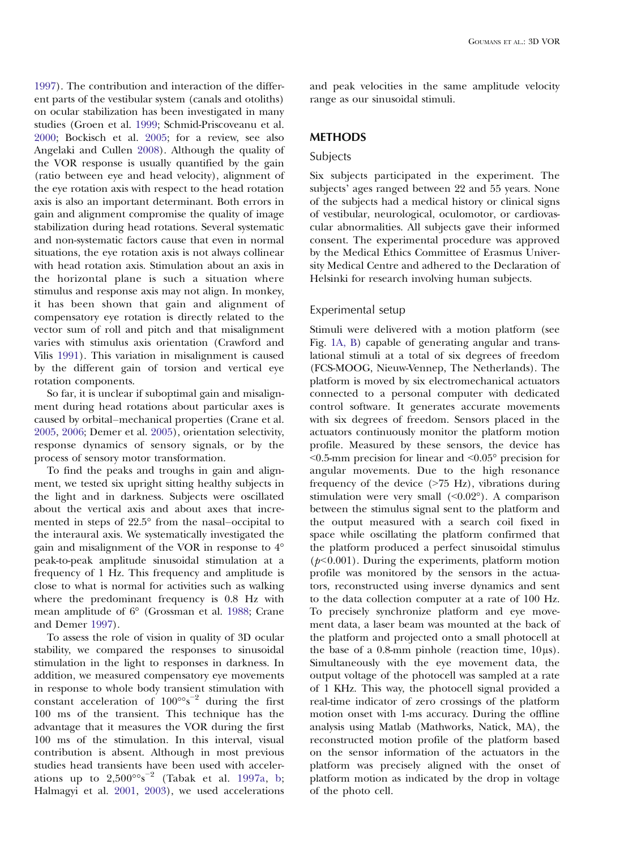[1997](#page-10-0)). The contribution and interaction of the different parts of the vestibular system (canals and otoliths) on ocular stabilization has been investigated in many studies (Groen et al. [1999;](#page-10-0) Schmid-Priscoveanu et al. [2000](#page-10-0); Bockisch et al. [2005;](#page-10-0) for a review, see also Angelaki and Cullen [2008](#page-9-0)). Although the quality of the VOR response is usually quantified by the gain (ratio between eye and head velocity), alignment of the eye rotation axis with respect to the head rotation axis is also an important determinant. Both errors in gain and alignment compromise the quality of image stabilization during head rotations. Several systematic and non-systematic factors cause that even in normal situations, the eye rotation axis is not always collinear with head rotation axis. Stimulation about an axis in the horizontal plane is such a situation where stimulus and response axis may not align. In monkey, it has been shown that gain and alignment of compensatory eye rotation is directly related to the vector sum of roll and pitch and that misalignment varies with stimulus axis orientation (Crawford and Vilis [1991\)](#page-10-0). This variation in misalignment is caused by the different gain of torsion and vertical eye rotation components.

So far, it is unclear if suboptimal gain and misalignment during head rotations about particular axes is caused by orbital–mechanical properties (Crane et al. [2005](#page-10-0), [2006](#page-10-0); Demer et al. [2005](#page-10-0)), orientation selectivity, response dynamics of sensory signals, or by the process of sensory motor transformation.

To find the peaks and troughs in gain and alignment, we tested six upright sitting healthy subjects in the light and in darkness. Subjects were oscillated about the vertical axis and about axes that incremented in steps of 22.5° from the nasal–occipital to the interaural axis. We systematically investigated the gain and misalignment of the VOR in response to 4° peak-to-peak amplitude sinusoidal stimulation at a frequency of 1 Hz. This frequency and amplitude is close to what is normal for activities such as walking where the predominant frequency is 0.8 Hz with mean amplitude of 6° (Grossman et al. [1988;](#page-10-0) Crane and Demer [1997](#page-10-0)).

To assess the role of vision in quality of 3D ocular stability, we compared the responses to sinusoidal stimulation in the light to responses in darkness. In addition, we measured compensatory eye movements in response to whole body transient stimulation with constant acceleration of 100°°s−<sup>2</sup> during the first 100 ms of the transient. This technique has the advantage that it measures the VOR during the first 100 ms of the stimulation. In this interval, visual contribution is absent. Although in most previous studies head transients have been used with accelerations up to  $2,500^{\circ}$ °s<sup>-2</sup> (Tabak et al. [1997a,](#page-10-0) [b](#page-10-0); Halmagyi et al. [2001,](#page-10-0) [2003\)](#page-10-0), we used accelerations

and peak velocities in the same amplitude velocity range as our sinusoidal stimuli.

# **METHODS**

## Subjects

Six subjects participated in the experiment. The subjects' ages ranged between 22 and 55 years. None of the subjects had a medical history or clinical signs of vestibular, neurological, oculomotor, or cardiovascular abnormalities. All subjects gave their informed consent. The experimental procedure was approved by the Medical Ethics Committee of Erasmus University Medical Centre and adhered to the Declaration of Helsinki for research involving human subjects.

#### Experimental setup

Stimuli were delivered with a motion platform (see Fig. [1A, B\)](#page-2-0) capable of generating angular and translational stimuli at a total of six degrees of freedom (FCS-MOOG, Nieuw-Vennep, The Netherlands). The platform is moved by six electromechanical actuators connected to a personal computer with dedicated control software. It generates accurate movements with six degrees of freedom. Sensors placed in the actuators continuously monitor the platform motion profile. Measured by these sensors, the device has  $< 0.5$ -mm precision for linear and  $< 0.05$ ° precision for angular movements. Due to the high resonance frequency of the device  $($ >75 Hz $)$ , vibrations during stimulation were very small  $( $0.02°$ ). A comparison$ between the stimulus signal sent to the platform and the output measured with a search coil fixed in space while oscillating the platform confirmed that the platform produced a perfect sinusoidal stimulus ( $p<0.001$ ). During the experiments, platform motion profile was monitored by the sensors in the actuators, reconstructed using inverse dynamics and sent to the data collection computer at a rate of 100 Hz. To precisely synchronize platform and eye movement data, a laser beam was mounted at the back of the platform and projected onto a small photocell at the base of a 0.8-mm pinhole (reaction time,  $10 \mu s$ ). Simultaneously with the eye movement data, the output voltage of the photocell was sampled at a rate of 1 KHz. This way, the photocell signal provided a real-time indicator of zero crossings of the platform motion onset with 1-ms accuracy. During the offline analysis using Matlab (Mathworks, Natick, MA), the reconstructed motion profile of the platform based on the sensor information of the actuators in the platform was precisely aligned with the onset of platform motion as indicated by the drop in voltage of the photo cell.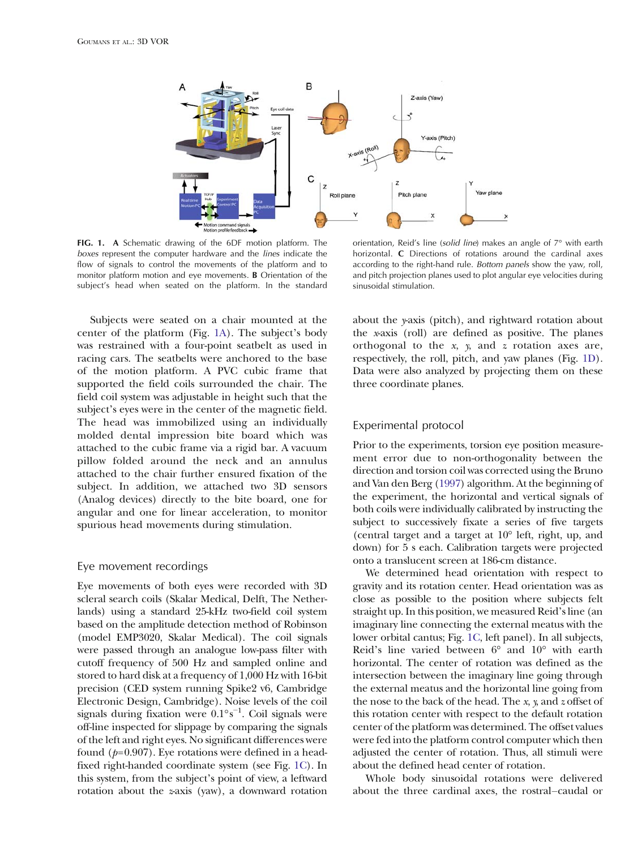<span id="page-2-0"></span>

FIG. 1. A Schematic drawing of the 6DF motion platform. The boxes represent the computer hardware and the lines indicate the flow of signals to control the movements of the platform and to monitor platform motion and eye movements. B Orientation of the subject's head when seated on the platform. In the standard

orientation, Reid's line (solid line) makes an angle of 7° with earth horizontal. C Directions of rotations around the cardinal axes according to the right-hand rule. Bottom panels show the yaw, roll, and pitch projection planes used to plot angular eye velocities during sinusoidal stimulation.

Subjects were seated on a chair mounted at the center of the platform (Fig. 1A). The subject's body was restrained with a four-point seatbelt as used in racing cars. The seatbelts were anchored to the base of the motion platform. A PVC cubic frame that supported the field coils surrounded the chair. The field coil system was adjustable in height such that the subject's eyes were in the center of the magnetic field. The head was immobilized using an individually molded dental impression bite board which was attached to the cubic frame via a rigid bar. A vacuum pillow folded around the neck and an annulus attached to the chair further ensured fixation of the subject. In addition, we attached two 3D sensors (Analog devices) directly to the bite board, one for angular and one for linear acceleration, to monitor spurious head movements during stimulation.

#### Eye movement recordings

Eye movements of both eyes were recorded with 3D scleral search coils (Skalar Medical, Delft, The Netherlands) using a standard 25-kHz two-field coil system based on the amplitude detection method of Robinson (model EMP3020, Skalar Medical). The coil signals were passed through an analogue low-pass filter with cutoff frequency of 500 Hz and sampled online and stored to hard disk at a frequency of 1,000 Hz with 16-bit precision (CED system running Spike2 v6, Cambridge Electronic Design, Cambridge). Noise levels of the coil signals during fixation were 0.1°s−<sup>1</sup> . Coil signals were off-line inspected for slippage by comparing the signals of the left and right eyes. No significant differences were found  $(p=0.907)$ . Eye rotations were defined in a headfixed right-handed coordinate system (see Fig. 1C). In this system, from the subject's point of view, a leftward rotation about the z-axis (yaw), a downward rotation about the y-axis (pitch), and rightward rotation about the x-axis (roll) are defined as positive. The planes orthogonal to the  $x$ ,  $y$ , and  $z$  rotation axes are, respectively, the roll, pitch, and yaw planes (Fig. 1D). Data were also analyzed by projecting them on these three coordinate planes.

#### Experimental protocol

Prior to the experiments, torsion eye position measurement error due to non-orthogonality between the direction and torsion coil was corrected using the Bruno and Van den Berg [\(1997](#page-10-0)) algorithm. At the beginning of the experiment, the horizontal and vertical signals of both coils were individually calibrated by instructing the subject to successively fixate a series of five targets (central target and a target at 10° left, right, up, and down) for 5 s each. Calibration targets were projected onto a translucent screen at 186-cm distance.

We determined head orientation with respect to gravity and its rotation center. Head orientation was as close as possible to the position where subjects felt straight up. In this position, we measured Reid's line (an imaginary line connecting the external meatus with the lower orbital cantus; Fig. 1C, left panel). In all subjects, Reid's line varied between 6° and 10° with earth horizontal. The center of rotation was defined as the intersection between the imaginary line going through the external meatus and the horizontal line going from the nose to the back of the head. The  $x$ ,  $y$ , and  $z$  offset of this rotation center with respect to the default rotation center of the platform was determined. The offset values were fed into the platform control computer which then adjusted the center of rotation. Thus, all stimuli were about the defined head center of rotation.

Whole body sinusoidal rotations were delivered about the three cardinal axes, the rostral–caudal or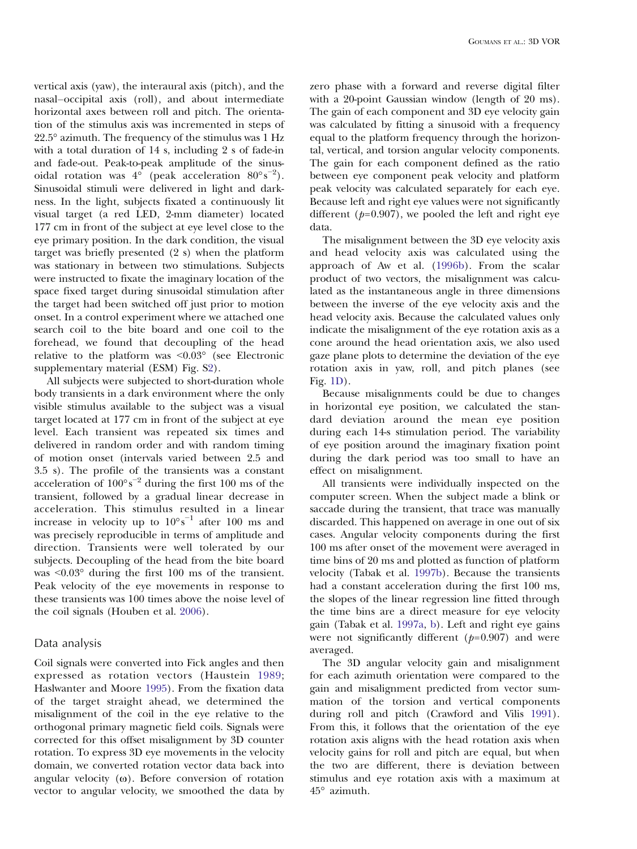vertical axis (yaw), the interaural axis (pitch), and the nasal–occipital axis (roll), and about intermediate horizontal axes between roll and pitch. The orientation of the stimulus axis was incremented in steps of 22.5° azimuth. The frequency of the stimulus was 1 Hz with a total duration of 14 s, including 2 s of fade-in and fade-out. Peak-to-peak amplitude of the sinusoidal rotation was  $4^{\circ}$  (peak acceleration  $80^{\circ} s^{-2}$ ). Sinusoidal stimuli were delivered in light and darkness. In the light, subjects fixated a continuously lit visual target (a red LED, 2-mm diameter) located 177 cm in front of the subject at eye level close to the eye primary position. In the dark condition, the visual target was briefly presented (2 s) when the platform was stationary in between two stimulations. Subjects were instructed to fixate the imaginary location of the space fixed target during sinusoidal stimulation after the target had been switched off just prior to motion onset. In a control experiment where we attached one search coil to the bite board and one coil to the forehead, we found that decoupling of the head relative to the platform was <0.03° (see Electronic supplementary material (ESM) Fig. S2).

All subjects were subjected to short-duration whole body transients in a dark environment where the only visible stimulus available to the subject was a visual target located at 177 cm in front of the subject at eye level. Each transient was repeated six times and delivered in random order and with random timing of motion onset (intervals varied between 2.5 and 3.5 s). The profile of the transients was a constant acceleration of  $100^{\circ} s^{-2}$  during the first 100 ms of the transient, followed by a gradual linear decrease in acceleration. This stimulus resulted in a linear increase in velocity up to  $10^{\circ}$ s<sup>-1</sup> after 100 ms and was precisely reproducible in terms of amplitude and direction. Transients were well tolerated by our subjects. Decoupling of the head from the bite board was  $\leq 0.03^{\circ}$  during the first 100 ms of the transient. Peak velocity of the eye movements in response to these transients was 100 times above the noise level of the coil signals (Houben et al. [2006\)](#page-10-0).

#### Data analysis

Coil signals were converted into Fick angles and then expressed as rotation vectors (Haustein [1989](#page-10-0); Haslwanter and Moore [1995\)](#page-10-0). From the fixation data of the target straight ahead, we determined the misalignment of the coil in the eye relative to the orthogonal primary magnetic field coils. Signals were corrected for this offset misalignment by 3D counter rotation. To express 3D eye movements in the velocity domain, we converted rotation vector data back into angular velocity  $(\omega)$ . Before conversion of rotation vector to angular velocity, we smoothed the data by

zero phase with a forward and reverse digital filter with a 20-point Gaussian window (length of 20 ms). The gain of each component and 3D eye velocity gain was calculated by fitting a sinusoid with a frequency equal to the platform frequency through the horizontal, vertical, and torsion angular velocity components. The gain for each component defined as the ratio between eye component peak velocity and platform peak velocity was calculated separately for each eye. Because left and right eye values were not significantly different ( $p=0.907$ ), we pooled the left and right eye data.

The misalignment between the 3D eye velocity axis and head velocity axis was calculated using the approach of Aw et al. ([1996b\)](#page-10-0). From the scalar product of two vectors, the misalignment was calculated as the instantaneous angle in three dimensions between the inverse of the eye velocity axis and the head velocity axis. Because the calculated values only indicate the misalignment of the eye rotation axis as a cone around the head orientation axis, we also used gaze plane plots to determine the deviation of the eye rotation axis in yaw, roll, and pitch planes (see Fig. [1D](#page-2-0)).

Because misalignments could be due to changes in horizontal eye position, we calculated the standard deviation around the mean eye position during each 14-s stimulation period. The variability of eye position around the imaginary fixation point during the dark period was too small to have an effect on misalignment.

All transients were individually inspected on the computer screen. When the subject made a blink or saccade during the transient, that trace was manually discarded. This happened on average in one out of six cases. Angular velocity components during the first 100 ms after onset of the movement were averaged in time bins of 20 ms and plotted as function of platform velocity (Tabak et al. [1997b](#page-10-0)). Because the transients had a constant acceleration during the first 100 ms, the slopes of the linear regression line fitted through the time bins are a direct measure for eye velocity gain (Tabak et al. [1997a](#page-10-0), [b\)](#page-10-0). Left and right eye gains were not significantly different  $(p=0.907)$  and were averaged.

The 3D angular velocity gain and misalignment for each azimuth orientation were compared to the gain and misalignment predicted from vector summation of the torsion and vertical components during roll and pitch (Crawford and Vilis [1991](#page-10-0)). From this, it follows that the orientation of the eye rotation axis aligns with the head rotation axis when velocity gains for roll and pitch are equal, but when the two are different, there is deviation between stimulus and eye rotation axis with a maximum at 45° azimuth.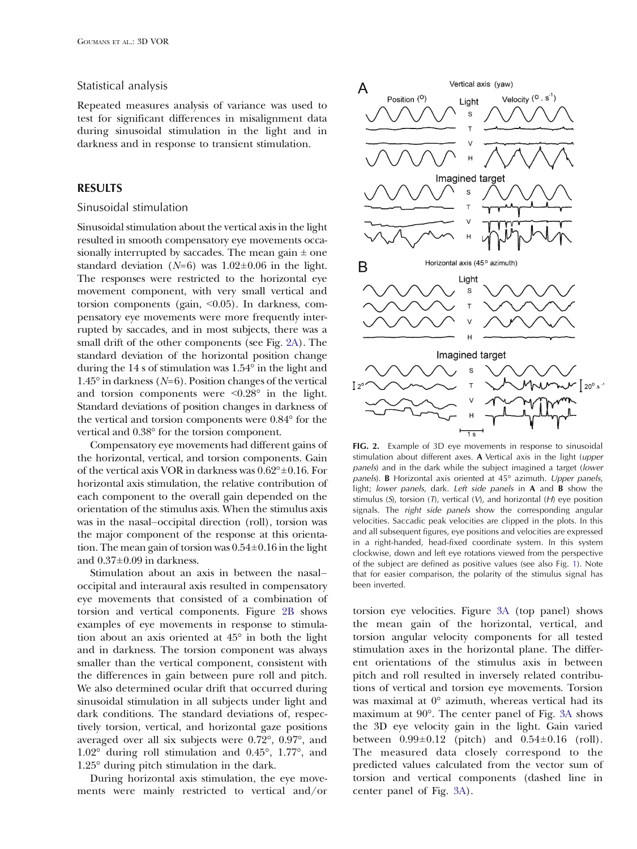## Statistical analysis

Repeated measures analysis of variance was used to test for significant differences in misalignment data during sinusoidal stimulation in the light and in darkness and in response to transient stimulation.

## RESULTS

#### Sinusoidal stimulation

Sinusoidal stimulation about the vertical axis in the light resulted in smooth compensatory eye movements occasionally interrupted by saccades. The mean gain  $\pm$  one standard deviation ( $N=6$ ) was  $1.02\pm0.06$  in the light. The responses were restricted to the horizontal eye movement component, with very small vertical and torsion components (gain, <0.05). In darkness, compensatory eye movements were more frequently interrupted by saccades, and in most subjects, there was a small drift of the other components (see Fig. 2A). The standard deviation of the horizontal position change during the 14 s of stimulation was 1.54° in the light and  $1.45^{\circ}$  in darkness (N=6). Position changes of the vertical and torsion components were  $\leq 0.28^\circ$  in the light. Standard deviations of position changes in darkness of the vertical and torsion components were 0.84° for the vertical and 0.38° for the torsion component.

Compensatory eye movements had different gains of the horizontal, vertical, and torsion components. Gain of the vertical axis VOR in darkness was 0.62°±0.16. For horizontal axis stimulation, the relative contribution of each component to the overall gain depended on the orientation of the stimulus axis. When the stimulus axis was in the nasal–occipital direction (roll), torsion was the major component of the response at this orientation. The mean gain of torsion was  $0.54\pm0.16$  in the light and 0.37±0.09 in darkness.

Stimulation about an axis in between the nasal– occipital and interaural axis resulted in compensatory eye movements that consisted of a combination of torsion and vertical components. Figure 2B shows examples of eye movements in response to stimulation about an axis oriented at 45° in both the light and in darkness. The torsion component was always smaller than the vertical component, consistent with the differences in gain between pure roll and pitch. We also determined ocular drift that occurred during sinusoidal stimulation in all subjects under light and dark conditions. The standard deviations of, respectively torsion, vertical, and horizontal gaze positions averaged over all six subjects were 0.72°, 0.97°, and 1.02° during roll stimulation and 0.45°, 1.77°, and 1.25° during pitch stimulation in the dark.

During horizontal axis stimulation, the eye movements were mainly restricted to vertical and/or



FIG. 2. Example of 3D eye movements in response to sinusoidal stimulation about different axes. A Vertical axis in the light (upper panels) and in the dark while the subject imagined a target (lower panels). B Horizontal axis oriented at 45° azimuth. Upper panels, light; lower panels, dark. Left side panels in A and B show the stimulus  $(S)$ , torsion  $(T)$ , vertical  $(V)$ , and horizontal  $(H)$  eye position signals. The right side panels show the corresponding angular velocities. Saccadic peak velocities are clipped in the plots. In this and all subsequent figures, eye positions and velocities are expressed in a right-handed, head-fixed coordinate system. In this system clockwise, down and left eye rotations viewed from the perspective of the subject are defined as positive values (see also Fig. [1](#page-2-0)). Note that for easier comparison, the polarity of the stimulus signal has been inverted.

torsion eye velocities. Figure [3A](#page-5-0) (top panel) shows the mean gain of the horizontal, vertical, and torsion angular velocity components for all tested stimulation axes in the horizontal plane. The different orientations of the stimulus axis in between pitch and roll resulted in inversely related contributions of vertical and torsion eye movements. Torsion was maximal at 0° azimuth, whereas vertical had its maximum at 90°. The center panel of Fig. [3A](#page-5-0) shows the 3D eye velocity gain in the light. Gain varied between  $0.99 \pm 0.12$  (pitch) and  $0.54 \pm 0.16$  (roll). The measured data closely correspond to the predicted values calculated from the vector sum of torsion and vertical components (dashed line in center panel of Fig. [3A](#page-5-0)).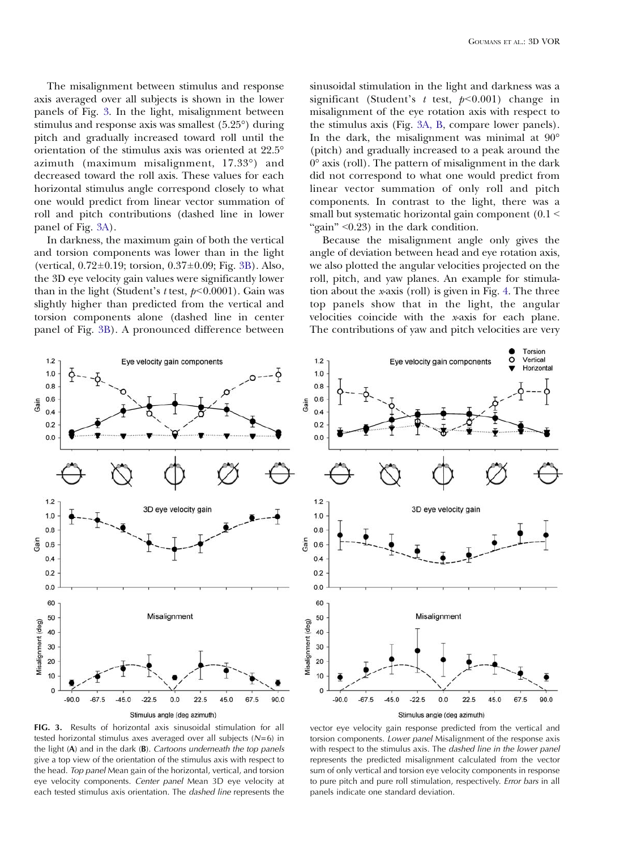<span id="page-5-0"></span>The misalignment between stimulus and response axis averaged over all subjects is shown in the lower panels of Fig. 3. In the light, misalignment between stimulus and response axis was smallest (5.25°) during pitch and gradually increased toward roll until the orientation of the stimulus axis was oriented at 22.5° azimuth (maximum misalignment, 17.33°) and decreased toward the roll axis. These values for each horizontal stimulus angle correspond closely to what one would predict from linear vector summation of roll and pitch contributions (dashed line in lower panel of Fig. 3A).

In darkness, the maximum gain of both the vertical and torsion components was lower than in the light (vertical, 0.72±0.19; torsion, 0.37±0.09; Fig. 3B). Also, the 3D eye velocity gain values were significantly lower than in the light (Student's t test,  $p<0.0001$ ). Gain was slightly higher than predicted from the vertical and torsion components alone (dashed line in center panel of Fig. 3B). A pronounced difference between

sinusoidal stimulation in the light and darkness was a significant (Student's  $t$  test,  $p<0.001$ ) change in misalignment of the eye rotation axis with respect to the stimulus axis (Fig. 3A, B, compare lower panels). In the dark, the misalignment was minimal at 90° (pitch) and gradually increased to a peak around the 0° axis (roll). The pattern of misalignment in the dark did not correspond to what one would predict from linear vector summation of only roll and pitch components. In contrast to the light, there was a small but systematic horizontal gain component  $(0.1 \leq$ "gain"  $< 0.23$ ) in the dark condition.

Because the misalignment angle only gives the angle of deviation between head and eye rotation axis, we also plotted the angular velocities projected on the roll, pitch, and yaw planes. An example for stimulation about the x-axis (roll) is given in Fig. [4.](#page-6-0) The three top panels show that in the light, the angular velocities coincide with the x-axis for each plane. The contributions of yaw and pitch velocities are very





FIG. 3. Results of horizontal axis sinusoidal stimulation for all tested horizontal stimulus axes averaged over all subjects  $(N=6)$  in the light  $(A)$  and in the dark  $(B)$ . Cartoons underneath the top panels give a top view of the orientation of the stimulus axis with respect to the head. Top panel Mean gain of the horizontal, vertical, and torsion eye velocity components. Center panel Mean 3D eye velocity at each tested stimulus axis orientation. The dashed line represents the

vector eye velocity gain response predicted from the vertical and torsion components. Lower panel Misalignment of the response axis with respect to the stimulus axis. The dashed line in the lower panel represents the predicted misalignment calculated from the vector sum of only vertical and torsion eye velocity components in response to pure pitch and pure roll stimulation, respectively. Error bars in all panels indicate one standard deviation.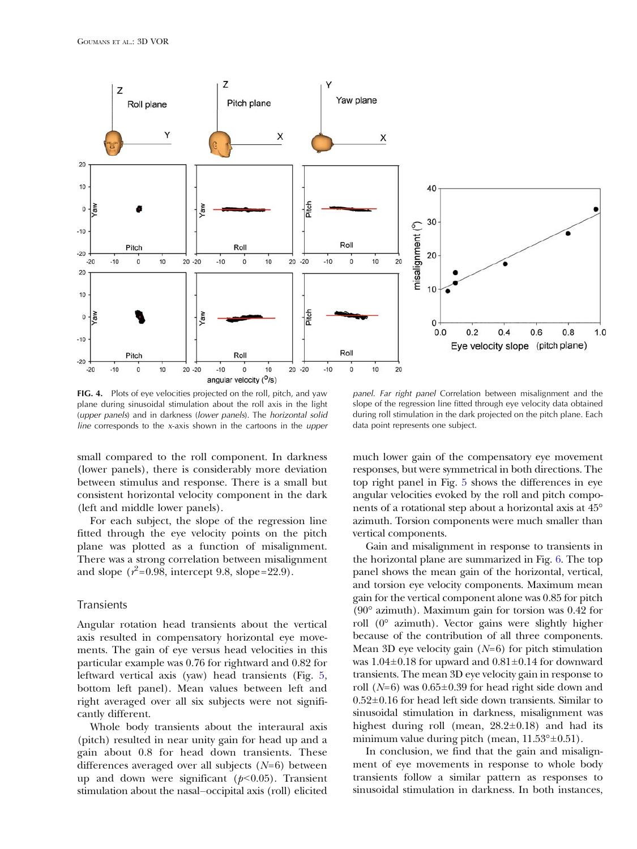<span id="page-6-0"></span>

FIG. 4. Plots of eye velocities projected on the roll, pitch, and yaw plane during sinusoidal stimulation about the roll axis in the light (upper panels) and in darkness (lower panels). The horizontal solid line corresponds to the x-axis shown in the cartoons in the upper

panel. Far right panel Correlation between misalignment and the slope of the regression line fitted through eye velocity data obtained during roll stimulation in the dark projected on the pitch plane. Each data point represents one subject.

small compared to the roll component. In darkness (lower panels), there is considerably more deviation between stimulus and response. There is a small but consistent horizontal velocity component in the dark (left and middle lower panels).

For each subject, the slope of the regression line fitted through the eye velocity points on the pitch plane was plotted as a function of misalignment. There was a strong correlation between misalignment and slope  $(r^2$ =0.98, intercept 9.8, slope=22.9).

#### Transients

Angular rotation head transients about the vertical axis resulted in compensatory horizontal eye movements. The gain of eye versus head velocities in this particular example was 0.76 for rightward and 0.82 for leftward vertical axis (yaw) head transients (Fig. [5,](#page-7-0) bottom left panel). Mean values between left and right averaged over all six subjects were not significantly different.

Whole body transients about the interaural axis (pitch) resulted in near unity gain for head up and a gain about 0.8 for head down transients. These differences averaged over all subjects  $(N=6)$  between up and down were significant  $(p<0.05)$ . Transient stimulation about the nasal–occipital axis (roll) elicited much lower gain of the compensatory eye movement responses, but were symmetrical in both directions. The top right panel in Fig. [5](#page-7-0) shows the differences in eye angular velocities evoked by the roll and pitch components of a rotational step about a horizontal axis at 45° azimuth. Torsion components were much smaller than vertical components.

Gain and misalignment in response to transients in the horizontal plane are summarized in Fig. [6.](#page-8-0) The top panel shows the mean gain of the horizontal, vertical, and torsion eye velocity components. Maximum mean gain for the vertical component alone was 0.85 for pitch (90° azimuth). Maximum gain for torsion was 0.42 for roll (0° azimuth). Vector gains were slightly higher because of the contribution of all three components. Mean 3D eye velocity gain  $(N=6)$  for pitch stimulation was  $1.04\pm0.18$  for upward and  $0.81\pm0.14$  for downward transients. The mean 3D eye velocity gain in response to roll  $(N=6)$  was  $0.65\pm0.39$  for head right side down and 0.52±0.16 for head left side down transients. Similar to sinusoidal stimulation in darkness, misalignment was highest during roll (mean,  $28.2 \pm 0.18$ ) and had its minimum value during pitch (mean,  $11.53^{\circ} \pm 0.51$ ).

In conclusion, we find that the gain and misalignment of eye movements in response to whole body transients follow a similar pattern as responses to sinusoidal stimulation in darkness. In both instances,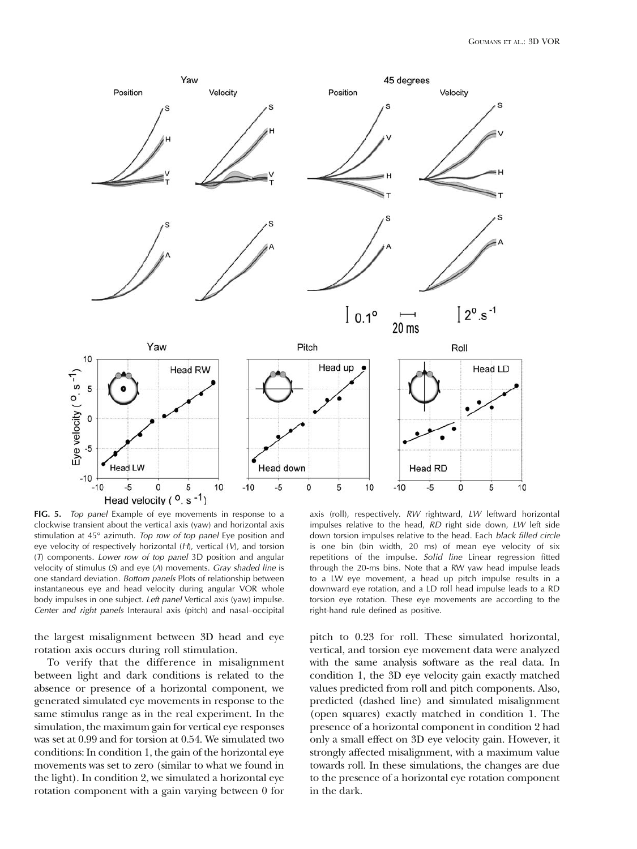<span id="page-7-0"></span>

FIG. 5. Top panel Example of eye movements in response to a clockwise transient about the vertical axis (yaw) and horizontal axis stimulation at 45° azimuth. Top row of top panel Eye position and eye velocity of respectively horizontal  $(H)$ , vertical  $(V)$ , and torsion (T) components. Lower row of top panel 3D position and angular velocity of stimulus  $(S)$  and eye  $(A)$  movements. Gray shaded line is one standard deviation. Bottom panels Plots of relationship between instantaneous eye and head velocity during angular VOR whole body impulses in one subject. Left panel Vertical axis (yaw) impulse. Center and right panels Interaural axis (pitch) and nasal–occipital

the largest misalignment between 3D head and eye rotation axis occurs during roll stimulation.

To verify that the difference in misalignment between light and dark conditions is related to the absence or presence of a horizontal component, we generated simulated eye movements in response to the same stimulus range as in the real experiment. In the simulation, the maximum gain for vertical eye responses was set at 0.99 and for torsion at 0.54. We simulated two conditions: In condition 1, the gain of the horizontal eye movements was set to zero (similar to what we found in the light). In condition 2, we simulated a horizontal eye rotation component with a gain varying between 0 for

axis (roll), respectively. RW rightward, LW leftward horizontal impulses relative to the head, RD right side down, LW left side down torsion impulses relative to the head. Each black filled circle is one bin (bin width, 20 ms) of mean eye velocity of six repetitions of the impulse. Solid line Linear regression fitted through the 20-ms bins. Note that a RW yaw head impulse leads to a LW eye movement, a head up pitch impulse results in a downward eye rotation, and a LD roll head impulse leads to a RD torsion eye rotation. These eye movements are according to the right-hand rule defined as positive.

pitch to 0.23 for roll. These simulated horizontal, vertical, and torsion eye movement data were analyzed with the same analysis software as the real data. In condition 1, the 3D eye velocity gain exactly matched values predicted from roll and pitch components. Also, predicted (dashed line) and simulated misalignment (open squares) exactly matched in condition 1. The presence of a horizontal component in condition 2 had only a small effect on 3D eye velocity gain. However, it strongly affected misalignment, with a maximum value towards roll. In these simulations, the changes are due to the presence of a horizontal eye rotation component in the dark.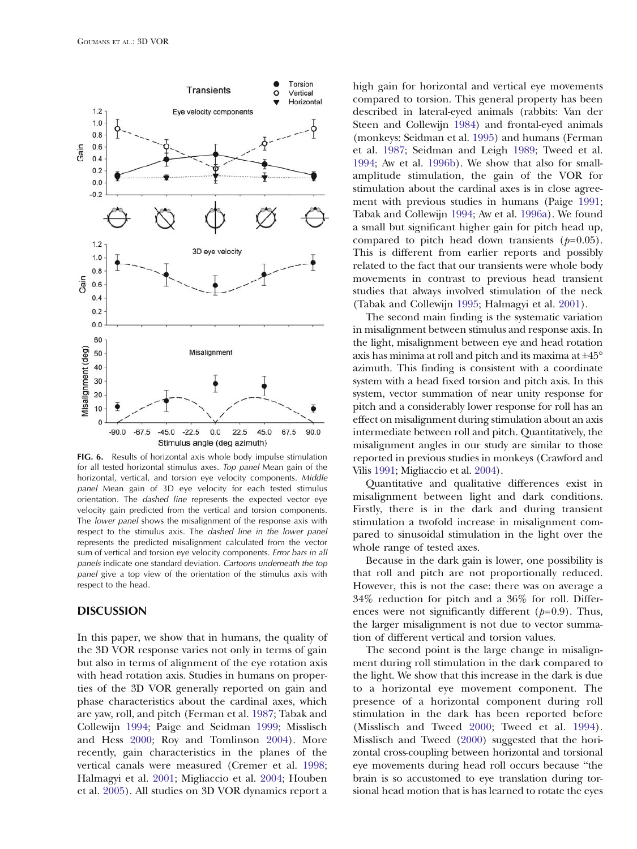<span id="page-8-0"></span>

FIG. 6. Results of horizontal axis whole body impulse stimulation for all tested horizontal stimulus axes. Top panel Mean gain of the horizontal, vertical, and torsion eye velocity components. Middle panel Mean gain of 3D eye velocity for each tested stimulus orientation. The dashed line represents the expected vector eye velocity gain predicted from the vertical and torsion components. The *lower panel* shows the misalignment of the response axis with respect to the stimulus axis. The dashed line in the lower panel represents the predicted misalignment calculated from the vector sum of vertical and torsion eye velocity components. Error bars in all panels indicate one standard deviation. Cartoons underneath the top panel give a top view of the orientation of the stimulus axis with respect to the head.

#### **DISCUSSION**

In this paper, we show that in humans, the quality of the 3D VOR response varies not only in terms of gain but also in terms of alignment of the eye rotation axis with head rotation axis. Studies in humans on properties of the 3D VOR generally reported on gain and phase characteristics about the cardinal axes, which are yaw, roll, and pitch (Ferman et al. [1987](#page-10-0); Tabak and Collewijn [1994;](#page-10-0) Paige and Seidman [1999](#page-10-0); Misslisch and Hess [2000;](#page-10-0) Roy and Tomlinson [2004\)](#page-10-0). More recently, gain characteristics in the planes of the vertical canals were measured (Cremer et al. [1998;](#page-10-0) Halmagyi et al. [2001;](#page-10-0) Migliaccio et al. [2004](#page-10-0); Houben et al. [2005](#page-10-0)). All studies on 3D VOR dynamics report a high gain for horizontal and vertical eye movements compared to torsion. This general property has been described in lateral-eyed animals (rabbits: Van der Steen and Collewijn [1984\)](#page-10-0) and frontal-eyed animals (monkeys: Seidman et al. [1995\)](#page-10-0) and humans (Ferman et al. [1987](#page-10-0); Seidman and Leigh [1989;](#page-10-0) Tweed et al. [1994](#page-10-0); Aw et al. [1996b\)](#page-10-0). We show that also for smallamplitude stimulation, the gain of the VOR for stimulation about the cardinal axes is in close agreement with previous studies in humans (Paige [1991;](#page-10-0) Tabak and Collewijn [1994;](#page-10-0) Aw et al. [1996a](#page-9-0)). We found a small but significant higher gain for pitch head up, compared to pitch head down transients  $(p=0.05)$ . This is different from earlier reports and possibly related to the fact that our transients were whole body movements in contrast to previous head transient studies that always involved stimulation of the neck (Tabak and Collewijn [1995](#page-10-0); Halmagyi et al. [2001](#page-10-0)).

The second main finding is the systematic variation in misalignment between stimulus and response axis. In the light, misalignment between eye and head rotation axis has minima at roll and pitch and its maxima at  $\pm 45^{\circ}$ azimuth. This finding is consistent with a coordinate system with a head fixed torsion and pitch axis. In this system, vector summation of near unity response for pitch and a considerably lower response for roll has an effect on misalignment during stimulation about an axis intermediate between roll and pitch. Quantitatively, the misalignment angles in our study are similar to those reported in previous studies in monkeys (Crawford and Vilis [1991;](#page-10-0) Migliaccio et al. [2004\)](#page-10-0).

Quantitative and qualitative differences exist in misalignment between light and dark conditions. Firstly, there is in the dark and during transient stimulation a twofold increase in misalignment compared to sinusoidal stimulation in the light over the whole range of tested axes.

Because in the dark gain is lower, one possibility is that roll and pitch are not proportionally reduced. However, this is not the case: there was on average a 34% reduction for pitch and a 36% for roll. Differences were not significantly different ( $p=0.9$ ). Thus, the larger misalignment is not due to vector summation of different vertical and torsion values.

The second point is the large change in misalignment during roll stimulation in the dark compared to the light. We show that this increase in the dark is due to a horizontal eye movement component. The presence of a horizontal component during roll stimulation in the dark has been reported before (Misslisch and Tweed [2000](#page-10-0); Tweed et al. [1994](#page-10-0)). Misslisch and Tweed ([2000\)](#page-10-0) suggested that the horizontal cross-coupling between horizontal and torsional eye movements during head roll occurs because "the brain is so accustomed to eye translation during torsional head motion that is has learned to rotate the eyes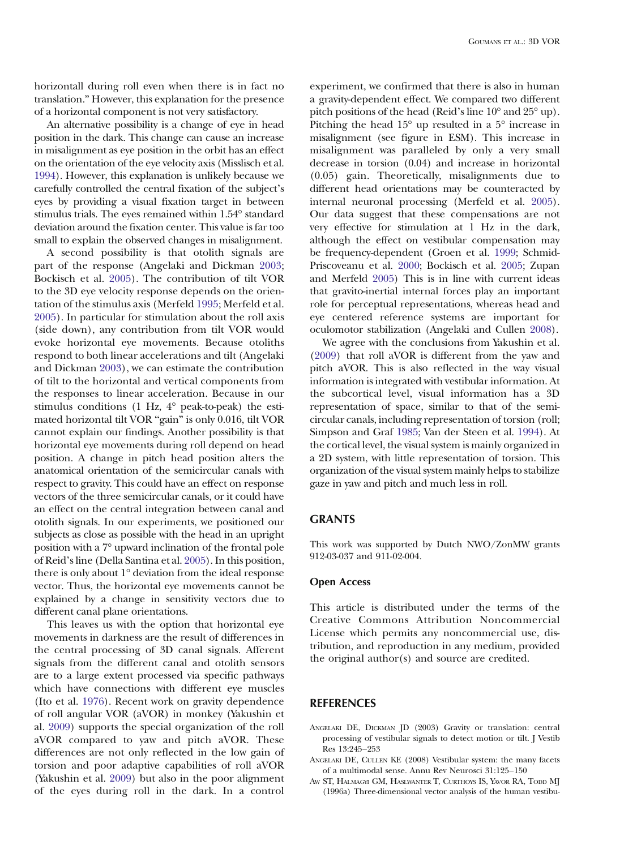<span id="page-9-0"></span>horizontall during roll even when there is in fact no translation." However, this explanation for the presence of a horizontal component is not very satisfactory.

An alternative possibility is a change of eye in head position in the dark. This change can cause an increase in misalignment as eye position in the orbit has an effect on the orientation of the eye velocity axis (Misslisch et al. [1994\)](#page-10-0). However, this explanation is unlikely because we carefully controlled the central fixation of the subject's eyes by providing a visual fixation target in between stimulus trials. The eyes remained within 1.54° standard deviation around the fixation center. This value is far too small to explain the observed changes in misalignment.

A second possibility is that otolith signals are part of the response (Angelaki and Dickman 2003; Bockisch et al. [2005](#page-10-0)). The contribution of tilt VOR to the 3D eye velocity response depends on the orientation of the stimulus axis (Merfeld [1995;](#page-10-0) Merfeld et al. [2005](#page-10-0)). In particular for stimulation about the roll axis (side down), any contribution from tilt VOR would evoke horizontal eye movements. Because otoliths respond to both linear accelerations and tilt (Angelaki and Dickman 2003), we can estimate the contribution of tilt to the horizontal and vertical components from the responses to linear acceleration. Because in our stimulus conditions (1 Hz, 4° peak-to-peak) the estimated horizontal tilt VOR "gain" is only 0.016, tilt VOR cannot explain our findings. Another possibility is that horizontal eye movements during roll depend on head position. A change in pitch head position alters the anatomical orientation of the semicircular canals with respect to gravity. This could have an effect on response vectors of the three semicircular canals, or it could have an effect on the central integration between canal and otolith signals. In our experiments, we positioned our subjects as close as possible with the head in an upright position with a 7° upward inclination of the frontal pole of Reid's line (Della Santina et al. [2005\)](#page-10-0). In this position, there is only about 1° deviation from the ideal response vector. Thus, the horizontal eye movements cannot be explained by a change in sensitivity vectors due to different canal plane orientations.

This leaves us with the option that horizontal eye movements in darkness are the result of differences in the central processing of 3D canal signals. Afferent signals from the different canal and otolith sensors are to a large extent processed via specific pathways which have connections with different eye muscles (Ito et al. [1976](#page-10-0)). Recent work on gravity dependence of roll angular VOR (aVOR) in monkey (Yakushin et al. [2009\)](#page-10-0) supports the special organization of the roll aVOR compared to yaw and pitch aVOR. These differences are not only reflected in the low gain of torsion and poor adaptive capabilities of roll aVOR (Yakushin et al. [2009\)](#page-10-0) but also in the poor alignment of the eyes during roll in the dark. In a control

experiment, we confirmed that there is also in human a gravity-dependent effect. We compared two different pitch positions of the head (Reid's line 10° and 25° up). Pitching the head  $15^{\circ}$  up resulted in a  $5^{\circ}$  increase in misalignment (see figure in ESM). This increase in misalignment was paralleled by only a very small decrease in torsion (0.04) and increase in horizontal (0.05) gain. Theoretically, misalignments due to different head orientations may be counteracted by internal neuronal processing (Merfeld et al. [2005](#page-10-0)). Our data suggest that these compensations are not very effective for stimulation at 1 Hz in the dark, although the effect on vestibular compensation may be frequency-dependent (Groen et al. [1999;](#page-10-0) Schmid-Priscoveanu et al. [2000](#page-10-0); Bockisch et al. [2005](#page-10-0); Zupan and Merfeld [2005](#page-10-0)) This is in line with current ideas that gravito-inertial internal forces play an important role for perceptual representations, whereas head and eye centered reference systems are important for oculomotor stabilization (Angelaki and Cullen 2008).

We agree with the conclusions from Yakushin et al. [\(2009\)](#page-10-0) that roll aVOR is different from the yaw and pitch aVOR. This is also reflected in the way visual information is integrated with vestibular information. At the subcortical level, visual information has a 3D representation of space, similar to that of the semicircular canals, including representation of torsion (roll; Simpson and Graf [1985;](#page-10-0) Van der Steen et al. [1994\)](#page-10-0). At the cortical level, the visual system is mainly organized in a 2D system, with little representation of torsion. This organization of the visual system mainly helps to stabilize gaze in yaw and pitch and much less in roll.

## **GRANTS**

This work was supported by Dutch NWO/ZonMW grants 912-03-037 and 911-02-004.

#### Open Access

This article is distributed under the terms of the Creative Commons Attribution Noncommercial License which permits any noncommercial use, distribution, and reproduction in any medium, provided the original author(s) and source are credited.

## **REFERENCES**

- ANGELAKI DE, DICKMAN JD (2003) Gravity or translation: central processing of vestibular signals to detect motion or tilt. J Vestib Res 13:245–253
- ANGELAKI DE, CULLEN KE (2008) Vestibular system: the many facets of a multimodal sense. Annu Rev Neurosci 31:125–150
- AW ST, HALMAGYI GM, HASLWANTER T, CURTHOYS IS, YAVOR RA, TODD MJ (1996a) Three-dimensional vector analysis of the human vestibu-